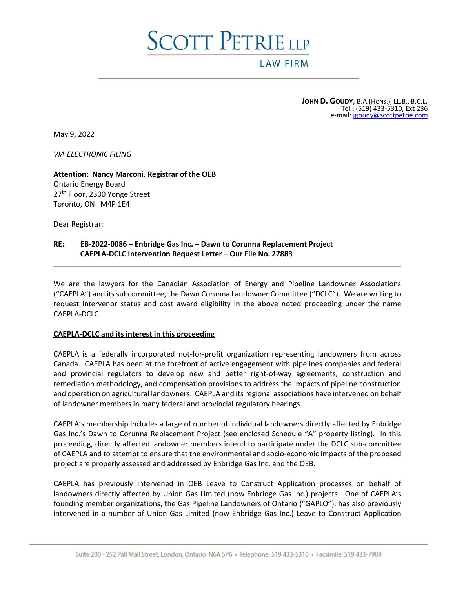# SCOTT PETRIE LLP

## **LAW FIRM**

**JOHN D. GOUDY**, B.A.(HONS.), LL.B., B.C.L. Tel.: (519) 433-5310, Ext 236 e-mail[: jgoudy@scottpetrie.com](mailto:jgoudy@scottpetrie.com)

May 9, 2022

*VIA ELECTRONIC FILING*

**Attention: Nancy Marconi, Registrar of the OEB** Ontario Energy Board 27<sup>th</sup> Floor, 2300 Yonge Street Toronto, ON M4P 1E4

Dear Registrar:

## **RE: EB-2022-0086 – Enbridge Gas Inc. – Dawn to Corunna Replacement Project CAEPLA-DCLC Intervention Request Letter – Our File No. 27883**

We are the lawyers for the Canadian Association of Energy and Pipeline Landowner Associations ("CAEPLA") and its subcommittee, the Dawn Corunna Landowner Committee ("DCLC"). We are writing to request intervenor status and cost award eligibility in the above noted proceeding under the name CAEPLA-DCLC.

#### **CAEPLA-DCLC and its interest in this proceeding**

CAEPLA is a federally incorporated not-for-profit organization representing landowners from across Canada. CAEPLA has been at the forefront of active engagement with pipelines companies and federal and provincial regulators to develop new and better right-of-way agreements, construction and remediation methodology, and compensation provisions to address the impacts of pipeline construction and operation on agricultural landowners. CAEPLA and its regional associations have intervened on behalf of landowner members in many federal and provincial regulatory hearings.

CAEPLA's membership includes a large of number of individual landowners directly affected by Enbridge Gas Inc.'s Dawn to Corunna Replacement Project (see enclosed Schedule "A" property listing). In this proceeding, directly affected landowner members intend to participate under the DCLC sub-committee of CAEPLA and to attempt to ensure that the environmental and socio-economic impacts of the proposed project are properly assessed and addressed by Enbridge Gas Inc. and the OEB.

CAEPLA has previously intervened in OEB Leave to Construct Application processes on behalf of landowners directly affected by Union Gas Limited (now Enbridge Gas Inc.) projects. One of CAEPLA's founding member organizations, the Gas Pipeline Landowners of Ontario ("GAPLO"), has also previously intervened in a number of Union Gas Limited (now Enbridge Gas Inc.) Leave to Construct Application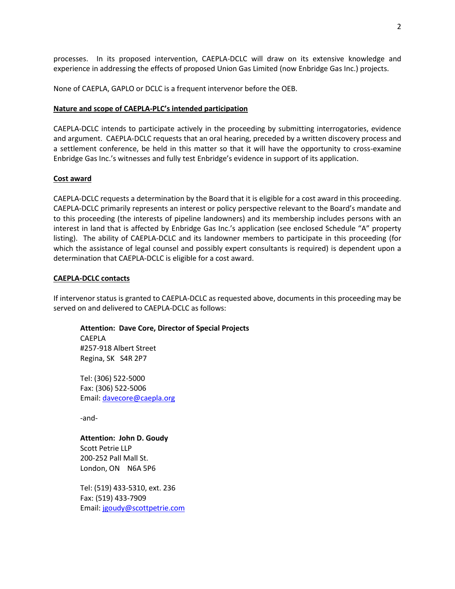processes. In its proposed intervention, CAEPLA-DCLC will draw on its extensive knowledge and experience in addressing the effects of proposed Union Gas Limited (now Enbridge Gas Inc.) projects.

None of CAEPLA, GAPLO or DCLC is a frequent intervenor before the OEB.

#### **Nature and scope of CAEPLA-PLC's intended participation**

CAEPLA-DCLC intends to participate actively in the proceeding by submitting interrogatories, evidence and argument. CAEPLA-DCLC requests that an oral hearing, preceded by a written discovery process and a settlement conference, be held in this matter so that it will have the opportunity to cross-examine Enbridge Gas Inc.'s witnesses and fully test Enbridge's evidence in support of its application.

#### **Cost award**

CAEPLA-DCLC requests a determination by the Board that it is eligible for a cost award in this proceeding. CAEPLA-DCLC primarily represents an interest or policy perspective relevant to the Board's mandate and to this proceeding (the interests of pipeline landowners) and its membership includes persons with an interest in land that is affected by Enbridge Gas Inc.'s application (see enclosed Schedule "A" property listing). The ability of CAEPLA-DCLC and its landowner members to participate in this proceeding (for which the assistance of legal counsel and possibly expert consultants is required) is dependent upon a determination that CAEPLA-DCLC is eligible for a cost award.

#### **CAEPLA-DCLC contacts**

If intervenor status is granted to CAEPLA-DCLC as requested above, documents in this proceeding may be served on and delivered to CAEPLA-DCLC as follows:

**Attention: Dave Core, Director of Special Projects**

CAEPLA #257-918 Albert Street Regina, SK S4R 2P7

Tel: (306) 522-5000 Fax: (306) 522-5006 Email: [davecore@caepla.org](mailto:davecore@caepla.org)

-and-

**Attention: John D. Goudy**

Scott Petrie LLP 200-252 Pall Mall St. London, ON N6A 5P6

Tel: (519) 433-5310, ext. 236 Fax: (519) 433-7909 Email: [jgoudy@scottpetrie.com](mailto:jgoudy@scottpetrie.com)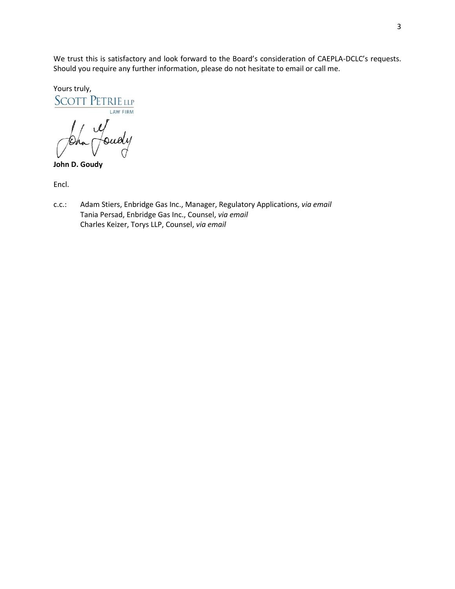We trust this is satisfactory and look forward to the Board's consideration of CAEPLA-DCLC's requests. Should you require any further information, please do not hesitate to email or call me.

Yours truly,<br>SCOTT PETRIE LLP LAW FIRM John Deudy

Encl.

c.c.: Adam Stiers, Enbridge Gas Inc., Manager, Regulatory Applications, *via email* Tania Persad, Enbridge Gas Inc., Counsel, *via email* Charles Keizer, Torys LLP, Counsel, *via email*